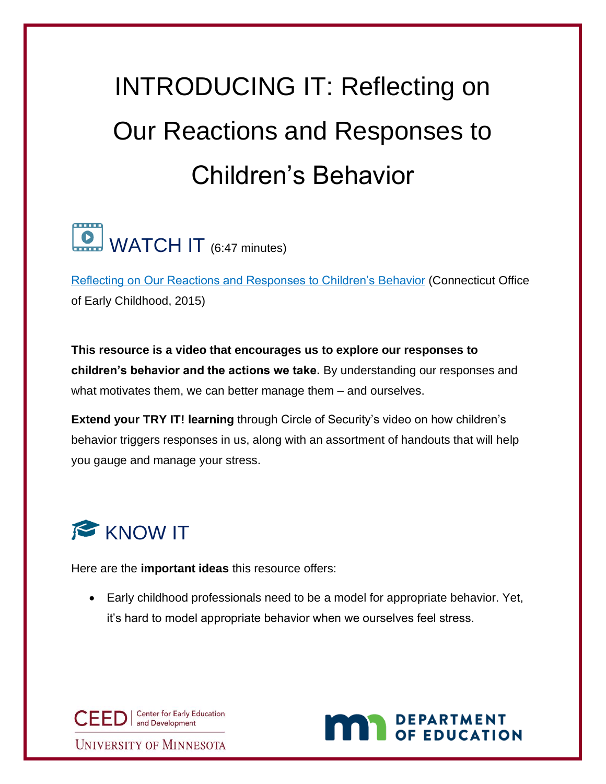## INTRODUCING IT: Reflecting on Our Reactions and Responses to Children's Behavior

## WATCH IT (6:47 minutes)

[Reflecting on Our Reactions and Responses to Children's Behavior](https://www.youtube.com/watch?v=JukXy3lBHUM) (Connecticut Office of Early Childhood, 2015)

**This resource is a video that encourages us to explore our responses to children's behavior and the actions we take.** By understanding our responses and what motivates them, we can better manage them – and ourselves.

**Extend your TRY IT! learning** through Circle of Security's video on how children's behavior triggers responses in us, along with an assortment of handouts that will help you gauge and manage your stress.



Here are the **important ideas** this resource offers:

• Early childhood professionals need to be a model for appropriate behavior. Yet, it's hard to model appropriate behavior when we ourselves feel stress.

CEED | Center for Early Education **UNIVERSITY OF MINNESOTA** 

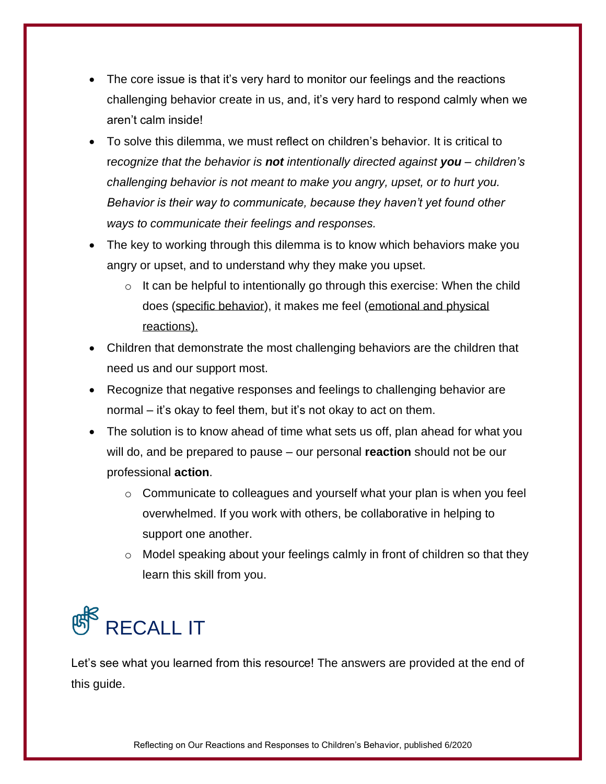- The core issue is that it's very hard to monitor our feelings and the reactions challenging behavior create in us, and, it's very hard to respond calmly when we aren't calm inside!
- To solve this dilemma, we must reflect on children's behavior. It is critical to r*ecognize that the behavior is not intentionally directed against you – children's challenging behavior is not meant to make you angry, upset, or to hurt you. Behavior is their way to communicate, because they haven't yet found other ways to communicate their feelings and responses.*
- The key to working through this dilemma is to know which behaviors make you angry or upset, and to understand why they make you upset.
	- $\circ$  It can be helpful to intentionally go through this exercise: When the child does (specific behavior), it makes me feel (emotional and physical reactions).
- Children that demonstrate the most challenging behaviors are the children that need us and our support most.
- Recognize that negative responses and feelings to challenging behavior are normal – it's okay to feel them, but it's not okay to act on them.
- The solution is to know ahead of time what sets us off, plan ahead for what you will do, and be prepared to pause – our personal **reaction** should not be our professional **action**.
	- $\circ$  Communicate to colleagues and yourself what your plan is when you feel overwhelmed. If you work with others, be collaborative in helping to support one another.
	- o Model speaking about your feelings calmly in front of children so that they learn this skill from you.



Let's see what you learned from this resource! The answers are provided at the end of this guide.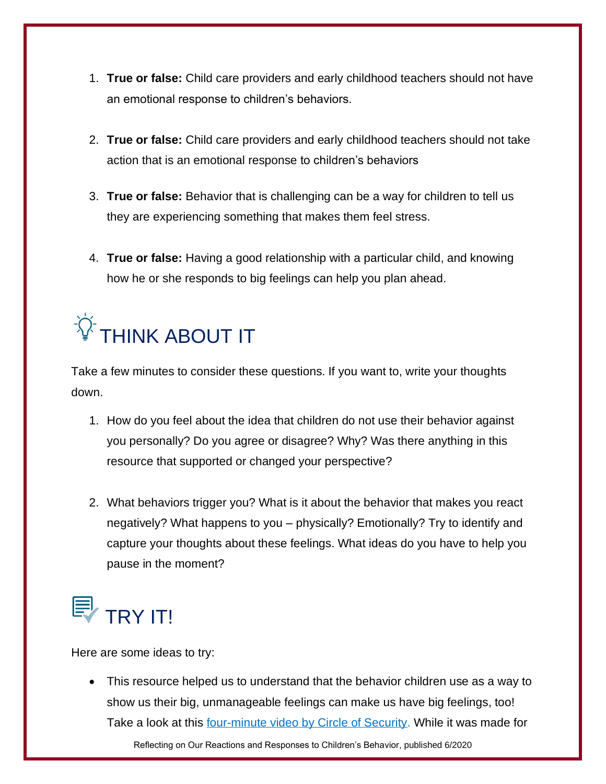- 1. **True or false:** Child care providers and early childhood teachers should not have an emotional response to children's behaviors.
- 2. **True or false:** Child care providers and early childhood teachers should not take action that is an emotional response to children's behaviors
- 3. **True or false:** Behavior that is challenging can be a way for children to tell us they are experiencing something that makes them feel stress.
- 4. **True or false:** Having a good relationship with a particular child, and knowing how he or she responds to big feelings can help you plan ahead.

## $\widetilde{N}$  think about it

Take a few minutes to consider these questions. If you want to, write your thoughts down.

- 1. How do you feel about the idea that children do not use their behavior against you personally? Do you agree or disagree? Why? Was there anything in this resource that supported or changed your perspective?
- 2. What behaviors trigger you? What is it about the behavior that makes you react negatively? What happens to you – physically? Emotionally? Try to identify and capture your thoughts about these feelings. What ideas do you have to help you pause in the moment?

## ey <sub>TRY</sub> IT!

Here are some ideas to try:

• This resource helped us to understand that the behavior children use as a way to show us their big, unmanageable feelings can make us have big feelings, too! Take a look at this [four-minute video by Circle of Security.](https://www.circleofsecurityinternational.com/resources-for-parents/) While it was made for

Reflecting on Our Reactions and Responses to Children's Behavior, published 6/2020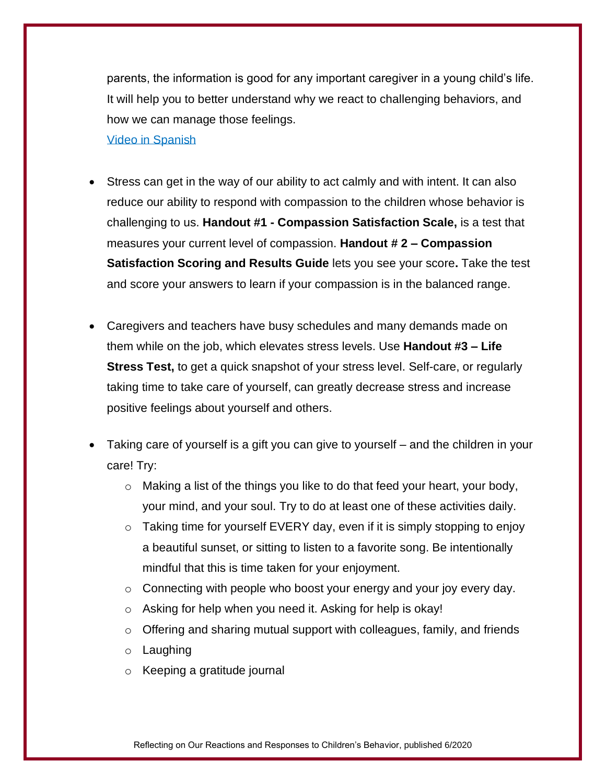parents, the information is good for any important caregiver in a young child's life. It will help you to better understand why we react to challenging behaviors, and how we can manage those feelings.

[Video in Spanish](https://www.circleofsecurityinternational.com/resources-for-parents/)

- Stress can get in the way of our ability to act calmly and with intent. It can also reduce our ability to respond with compassion to the children whose behavior is challenging to us. **Handout #1 - Compassion Satisfaction Scale,** is a test that measures your current level of compassion. **Handout # 2 – Compassion Satisfaction Scoring and Results Guide** lets you see your score**.** Take the test and score your answers to learn if your compassion is in the balanced range.
- Caregivers and teachers have busy schedules and many demands made on them while on the job, which elevates stress levels. Use **Handout #3 – Life Stress Test,** to get a quick snapshot of your stress level. Self-care, or regularly taking time to take care of yourself, can greatly decrease stress and increase positive feelings about yourself and others.
- Taking care of yourself is a gift you can give to yourself and the children in your care! Try:
	- $\circ$  Making a list of the things you like to do that feed your heart, your body, your mind, and your soul. Try to do at least one of these activities daily.
	- $\circ$  Taking time for yourself EVERY day, even if it is simply stopping to enjoy a beautiful sunset, or sitting to listen to a favorite song. Be intentionally mindful that this is time taken for your enjoyment.
	- $\circ$  Connecting with people who boost your energy and your joy every day.
	- o Asking for help when you need it. Asking for help is okay!
	- $\circ$  Offering and sharing mutual support with colleagues, family, and friends
	- o Laughing
	- o Keeping a gratitude journal